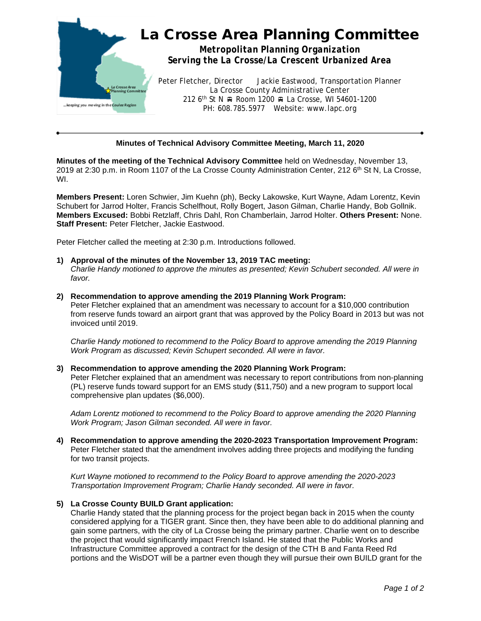

## **Minutes of Technical Advisory Committee Meeting, March 11, 2020**

**Minutes of the meeting of the Technical Advisory Committee** held on Wednesday, November 13, 2019 at 2:30 p.m. in Room 1107 of the La Crosse County Administration Center, 212 6<sup>th</sup> St N, La Crosse, WI.

**Members Present:** Loren Schwier, Jim Kuehn (ph), Becky Lakowske, Kurt Wayne, Adam Lorentz, Kevin Schubert for Jarrod Holter, Francis Schelfhout, Rolly Bogert, Jason Gilman, Charlie Handy, Bob Gollnik. **Members Excused:** Bobbi Retzlaff, Chris Dahl, Ron Chamberlain, Jarrod Holter. **Others Present:** None. **Staff Present:** Peter Fletcher, Jackie Eastwood.

Peter Fletcher called the meeting at 2:30 p.m. Introductions followed.

- **1) Approval of the minutes of the November 13, 2019 TAC meeting:** *Charlie Handy motioned to approve the minutes as presented; Kevin Schubert seconded. All were in favor.*
- **2) Recommendation to approve amending the 2019 Planning Work Program:** Peter Fletcher explained that an amendment was necessary to account for a \$10,000 contribution from reserve funds toward an airport grant that was approved by the Policy Board in 2013 but was not invoiced until 2019.

*Charlie Handy motioned to recommend to the Policy Board to approve amending the 2019 Planning Work Program as discussed; Kevin Schupert seconded. All were in favor.*

## **3) Recommendation to approve amending the 2020 Planning Work Program:**

Peter Fletcher explained that an amendment was necessary to report contributions from non-planning (PL) reserve funds toward support for an EMS study (\$11,750) and a new program to support local comprehensive plan updates (\$6,000).

*Adam Lorentz motioned to recommend to the Policy Board to approve amending the 2020 Planning Work Program; Jason Gilman seconded. All were in favor.*

**4) Recommendation to approve amending the 2020-2023 Transportation Improvement Program:** Peter Fletcher stated that the amendment involves adding three projects and modifying the funding for two transit projects.

*Kurt Wayne motioned to recommend to the Policy Board to approve amending the 2020-2023 Transportation Improvement Program; Charlie Handy seconded. All were in favor.*

## **5) La Crosse County BUILD Grant application:**

Charlie Handy stated that the planning process for the project began back in 2015 when the county considered applying for a TIGER grant. Since then, they have been able to do additional planning and gain some partners, with the city of La Crosse being the primary partner. Charlie went on to describe the project that would significantly impact French Island. He stated that the Public Works and Infrastructure Committee approved a contract for the design of the CTH B and Fanta Reed Rd portions and the WisDOT will be a partner even though they will pursue their own BUILD grant for the